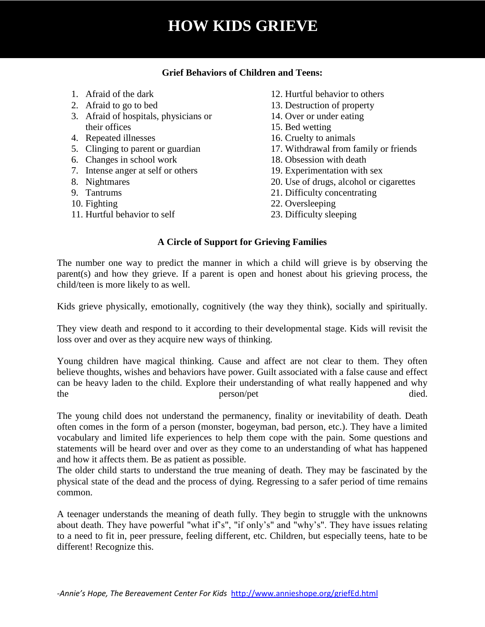# **HOW KIDS GRIEVE**

#### **Grief Behaviors of Children and Teens:**

- 1. Afraid of the dark
- 2. Afraid to go to bed
- 3. Afraid of hospitals, physicians or their offices
- 4. Repeated illnesses
- 5. Clinging to parent or guardian
- 6. Changes in school work
- 7. Intense anger at self or others
- 8. Nightmares
- 9. Tantrums
- 10. Fighting
- 11. Hurtful behavior to self
- 12. Hurtful behavior to others
- 13. Destruction of property
- 14. Over or under eating
- 15. Bed wetting
- 16. Cruelty to animals
- 17. Withdrawal from family or friends
- 18. Obsession with death
- 19. Experimentation with sex
- 20. Use of drugs, alcohol or cigarettes
- 21. Difficulty concentrating
- 22. Oversleeping
- 23. Difficulty sleeping

### **A Circle of Support for Grieving Families**

The number one way to predict the manner in which a child will grieve is by observing the parent(s) and how they grieve. If a parent is open and honest about his grieving process, the child/teen is more likely to as well.

Kids grieve physically, emotionally, cognitively (the way they think), socially and spiritually.

They view death and respond to it according to their developmental stage. Kids will revisit the loss over and over as they acquire new ways of thinking.

Young children have magical thinking. Cause and affect are not clear to them. They often believe thoughts, wishes and behaviors have power. Guilt associated with a false cause and effect can be heavy laden to the child. Explore their understanding of what really happened and why the person/pet died.

The young child does not understand the permanency, finality or inevitability of death. Death often comes in the form of a person (monster, bogeyman, bad person, etc.). They have a limited vocabulary and limited life experiences to help them cope with the pain. Some questions and statements will be heard over and over as they come to an understanding of what has happened and how it affects them. Be as patient as possible.

The older child starts to understand the true meaning of death. They may be fascinated by the physical state of the dead and the process of dying. Regressing to a safer period of time remains common.

A teenager understands the meaning of death fully. They begin to struggle with the unknowns about death. They have powerful "what if's", "if only's" and "why's". They have issues relating to a need to fit in, peer pressure, feeling different, etc. Children, but especially teens, hate to be different! Recognize this.